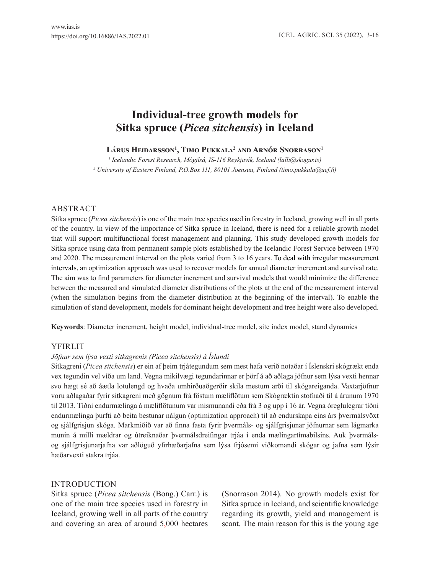# **Individual-tree growth models for Sitka spruce (***Picea sitchensis***) in Iceland**

**Lárus Heiðarsson<sup>1</sup> , Timo Pukkala<sup>2</sup> and Arnór Snorrason<sup>1</sup>**

*1 Icelandic Forest Research, Mógilsá, IS-116 Reykjavík, Iceland (lalli@skogur.is) 2 University of Eastern Finland, P.O.Box 111, 80101 Joensuu, Finland (timo.pukkala@uef.fi)*

# ABSTRACT

Sitka spruce (*Picea sitchensis*) is one of the main tree species used in forestry in Iceland, growing well in all parts of the country. In view of the importance of Sitka spruce in Iceland, there is need for a reliable growth model that will support multifunctional forest management and planning. This study developed growth models for Sitka spruce using data from permanent sample plots established by the Icelandic Forest Service between 1970 and 2020. The measurement interval on the plots varied from 3 to 16 years. To deal with irregular measurement intervals, an optimization approach was used to recover models for annual diameter increment and survival rate. The aim was to find parameters for diameter increment and survival models that would minimize the difference between the measured and simulated diameter distributions of the plots at the end of the measurement interval (when the simulation begins from the diameter distribution at the beginning of the interval). To enable the simulation of stand development, models for dominant height development and tree height were also developed.

**Keywords**: Diameter increment, height model, individual-tree model, site index model, stand dynamics

# YFIRLIT

# *Jöfnur sem lýsa vexti sitkagrenis (Picea sitchensis) á Íslandi*

Sitkagreni (*Picea sitchensis*) er ein af þeim trjátegundum sem mest hafa verið notaðar í Íslenskri skógrækt enda vex tegundin vel víða um land. Vegna mikilvægi tegundarinnar er þörf á að aðlaga jöfnur sem lýsa vexti hennar svo hægt sé að áætla lotulengd og hvaða umhirðuaðgerðir skila mestum arði til skógareiganda. Vaxtarjöfnur voru aðlagaðar fyrir sitkagreni með gögnum frá föstum mæliflötum sem Skógræktin stofnaði til á árunum 1970 til 2013. Tíðni endurmælinga á mæliflötunum var mismunandi eða frá 3 og upp í 16 ár. Vegna óreglulegrar tíðni endurmælinga þurfti að beita bestunar nálgun (optimization approach) til að endurskapa eins árs þvermálsvöxt og sjálfgrisjun skóga. Markmiðið var að finna fasta fyrir þvermáls- og sjálfgrisjunar jöfnurnar sem lágmarka munin á milli mældrar og útreiknaðar þvermálsdreifingar trjáa í enda mælingartímabilsins. Auk þvermálsog sjálfgrisjunarjafna var aðlöguð yfirhæðarjafna sem lýsa frjósemi viðkomandi skógar og jafna sem lýsir hæðarvexti stakra trjáa.

# INTRODUCTION

Sitka spruce (*Picea sitchensis* (Bong.) Carr.) is one of the main tree species used in forestry in Iceland, growing well in all parts of the country and covering an area of around 5,000 hectares (Snorrason 2014). No growth models exist for Sitka spruce in Iceland, and scientific knowledge regarding its growth, yield and management is scant. The main reason for this is the young age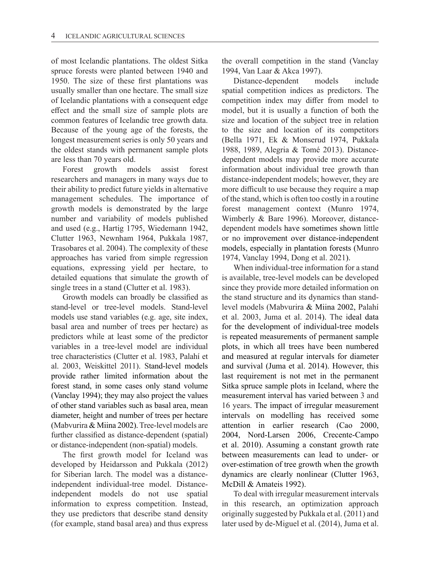of most Icelandic plantations. The oldest Sitka spruce forests were planted between 1940 and 1950. The size of these first plantations was usually smaller than one hectare. The small size of Icelandic plantations with a consequent edge effect and the small size of sample plots are common features of Icelandic tree growth data. Because of the young age of the forests, the longest measurement series is only 50 years and the oldest stands with permanent sample plots are less than 70 years old.

Forest growth models assist forest researchers and managers in many ways due to their ability to predict future yields in alternative management schedules. The importance of growth models is demonstrated by the large number and variability of models published and used (e.g., Hartig 1795, Wiedemann 1942, Clutter 1963, Newnham 1964, Pukkala 1987, Trasobares et al. 2004). The complexity of these approaches has varied from simple regression equations, expressing yield per hectare, to detailed equations that simulate the growth of single trees in a stand (Clutter et al. 1983).

Growth models can broadly be classified as stand-level or tree-level models. Stand-level models use stand variables (e.g. age, site index, basal area and number of trees per hectare) as predictors while at least some of the predictor variables in a tree-level model are individual tree characteristics (Clutter et al. 1983, Palahí et al. 2003, Weiskittel 2011). Stand-level models provide rather limited information about the forest stand, in some cases only stand volume (Vanclay 1994); they may also project the values of other stand variables such as basal area, mean diameter, height and number of trees per hectare (Mabvurira & Miina 2002). Tree-level models are further classified as distance-dependent (spatial) or distance-independent (non-spatial) models.

The first growth model for Iceland was developed by Heidarsson and Pukkala (2012) for Siberian larch. The model was a distanceindependent individual-tree model. Distanceindependent models do not use spatial information to express competition. Instead, they use predictors that describe stand density (for example, stand basal area) and thus express the overall competition in the stand (Vanclay 1994, Van Laar & Akca 1997).

Distance-dependent models include spatial competition indices as predictors. The competition index may differ from model to model, but it is usually a function of both the size and location of the subject tree in relation to the size and location of its competitors (Bella 1971, Ek & Monserud 1974, Pukkala 1988, 1989, Alegria & Tomé 2013). Distancedependent models may provide more accurate information about individual tree growth than distance-independent models; however, they are more difficult to use because they require a map of the stand, which is often too costly in a routine forest management context (Munro 1974, Wimberly & Bare 1996). Moreover, distancedependent models have sometimes shown little or no improvement over distance-independent models, especially in plantation forests (Munro 1974, Vanclay 1994, Dong et al. 2021).

When individual-tree information for a stand is available, tree-level models can be developed since they provide more detailed information on the stand structure and its dynamics than standlevel models (Mabvurira & Miina 2002, Palahí et al. 2003, Juma et al. 2014). The ideal data for the development of individual-tree models is repeated measurements of permanent sample plots, in which all trees have been numbered and measured at regular intervals for diameter and survival (Juma et al. 2014). However, this last requirement is not met in the permanent Sitka spruce sample plots in Iceland, where the measurement interval has varied between 3 and 16 years. The impact of irregular measurement intervals on modelling has received some attention in earlier research (Cao 2000, 2004, Nord-Larsen 2006, Crecente-Campo et al. 2010). Assuming a constant growth rate between measurements can lead to under- or over-estimation of tree growth when the growth dynamics are clearly nonlinear (Clutter 1963, McDill & Amateis 1992).

To deal with irregular measurement intervals in this research, an optimization approach originally suggested by Pukkala et al. (2011) and later used by de-Miguel et al. (2014), Juma et al.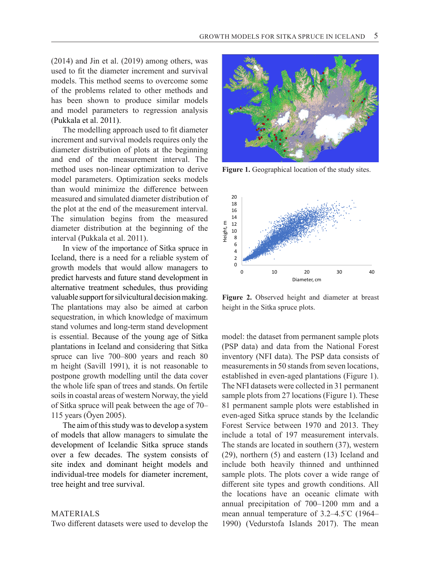(2014) and Jin et al. (2019) among others, was used to fit the diameter increment and survival models. This method seems to overcome some of the problems related to other methods and has been shown to produce similar models and model parameters to regression analysis (Pukkala et al. 2011).

The modelling approach used to fit diameter increment and survival models requires only the diameter distribution of plots at the beginning and end of the measurement interval. The method uses non-linear optimization to derive model parameters. Optimization seeks models than would minimize the difference between measured and simulated diameter distribution of the plot at the end of the measurement interval. The simulation begins from the measured diameter distribution at the beginning of the interval (Pukkala et al. 2011).

In view of the importance of Sitka spruce in Iceland, there is a need for a reliable system of growth models that would allow managers to predict harvests and future stand development in alternative treatment schedules, thus providing valuable support for silvicultural decision making. The plantations may also be aimed at carbon sequestration, in which knowledge of maximum stand volumes and long-term stand development is essential. Because of the young age of Sitka plantations in Iceland and considering that Sitka spruce can live 700–800 years and reach 80 m height (Savill 1991), it is not reasonable to postpone growth modelling until the data cover the whole life span of trees and stands. On fertile soils in coastal areas of western Norway, the yield of Sitka spruce will peak between the age of 70– 115 years (Öyen 2005).

The aim of this study was to develop a system of models that allow managers to simulate the development of Icelandic Sitka spruce stands over a few decades. The system consists of site index and dominant height models and individual-tree models for diameter increment, tree height and tree survival.

#### MATERIALS

Two different datasets were used to develop the



**Figure 1.** Geographical location of the study sites.



**Figure 2.** Observed height and diameter at breast height in the Sitka spruce plots.

model: the dataset from permanent sample plots (PSP data) and data from the National Forest inventory (NFI data). The PSP data consists of measurements in 50 stands from seven locations, established in even-aged plantations (Figure 1). The NFI datasets were collected in 31 permanent sample plots from 27 locations (Figure 1). These 81 permanent sample plots were established in even-aged Sitka spruce stands by the Icelandic Forest Service between 1970 and 2013. They include a total of 197 measurement intervals. The stands are located in southern (37), western (29), northern (5) and eastern (13) Iceland and include both heavily thinned and unthinned sample plots. The plots cover a wide range of different site types and growth conditions. All the locations have an oceanic climate with annual precipitation of 700–1200 mm and a mean annual temperature of 3.2–4.5° C (1964– 1990) (Vedurstofa Islands 2017). The mean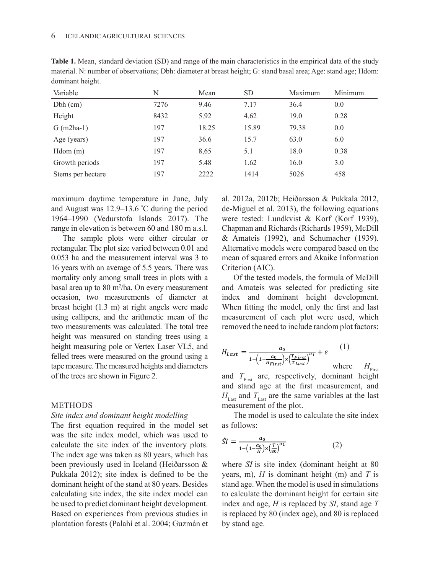| o<br>Variable     | N    | Mean  | <b>SD</b> | Maximum | Minimum |
|-------------------|------|-------|-----------|---------|---------|
| $Dbh$ (cm)        | 7276 | 9.46  | 7.17      | 36.4    | 0.0     |
| Height            | 8432 | 5.92  | 4.62      | 19.0    | 0.28    |
| $G$ (m2ha-1)      | 197  | 18.25 | 15.89     | 79.38   | 0.0     |
| Age (years)       | 197  | 36.6  | 15.7      | 63.0    | 6.0     |
| Hdom(m)           | 197  | 8,65  | 5.1       | 18.0    | 0.38    |
| Growth periods    | 197  | 5.48  | 1.62      | 16.0    | 3.0     |
| Stems per hectare | 197  | 2222  | 1414      | 5026    | 458     |

**Table 1.** Mean, standard deviation (SD) and range of the main characteristics in the empirical data of the study material. N: number of observations; Dbh: diameter at breast height; G: stand basal area; Age: stand age; Hdom: dominant height.

maximum daytime temperature in June, July and August was 12.9–13.6 ° C during the period 1964–1990 (Vedurstofa Islands 2017). The range in elevation is between 60 and 180 m a.s.l.

The sample plots were either circular or rectangular. The plot size varied between 0.01 and 0.053 ha and the measurement interval was 3 to 16 years with an average of 5.5 years. There was mortality only among small trees in plots with a basal area up to 80 m2 /ha. On every measurement occasion, two measurements of diameter at breast height (1.3 m) at right angels were made using callipers, and the arithmetic mean of the two measurements was calculated. The total tree height was measured on standing trees using a height measuring pole or Vertex Laser VL5, and felled trees were measured on the ground using a tape measure. The measured heights and diameters of the trees are shown in Figure 2.

#### METHODS

#### *Site index and dominant height modelling*

The first equation required in the model set was the site index model, which was used to calculate the site index of the inventory plots. The index age was taken as 80 years, which has been previously used in Iceland (Heiðarsson & Pukkala 2012); site index is defined to be the dominant height of the stand at 80 years. Besides calculating site index, the site index model can be used to predict dominant height development. Based on experiences from previous studies in plantation forests (Palahí et al. 2004; Guzmán et

al. 2012a, 2012b; Heiðarsson & Pukkala 2012, de-Miguel et al. 2013), the following equations were tested: Lundkvist & Korf (Korf 1939), Chapman and Richards (Richards 1959), McDill & Amateis (1992), and Schumacher (1939). Alternative models were compared based on the mean of squared errors and Akaike Information Criterion (AIC).

Of the tested models, the formula of McDill and Amateis was selected for predicting site index and dominant height development. When fitting the model, only the first and last measurement of each plot were used, which removed the need to include random plot factors:

$$
H_{Last} = \frac{a_0}{1 - \left(1 - \frac{a_0}{H_{First}}\right) \times \left(\frac{T_{First}}{T_{Last}}\right)^{a_1}} + \varepsilon \qquad (1)
$$
 where  $H_{av}$ 

 $H_{\text{First}}$ and  $T_{\text{First}}$  are, respectively, dominant height and stand age at the first measurement, and  $H_{\text{Last}}$  and  $T_{\text{Last}}$  are the same variables at the last measurement of the plot.

The model is used to calculate the site index as follows:

$$
\hat{S}I = \frac{a_0}{1 - \left(1 - \frac{a_0}{H}\right) \times \left(\frac{T}{80}\right)^{a_1}}
$$
(2)

where *SI* is site index (dominant height at 80 years, m), *H* is dominant height (m) and *T* is stand age. When the model is used in simulations band uge. When the moder is used in simulations to calculate the dominant height for certain site index and age, *H* is replaced by *SI*, stand age *T* is replaced by 80 (index age), and 80 is replaced by stand age. te and the state of  $\sim$  $\mathbf{B}$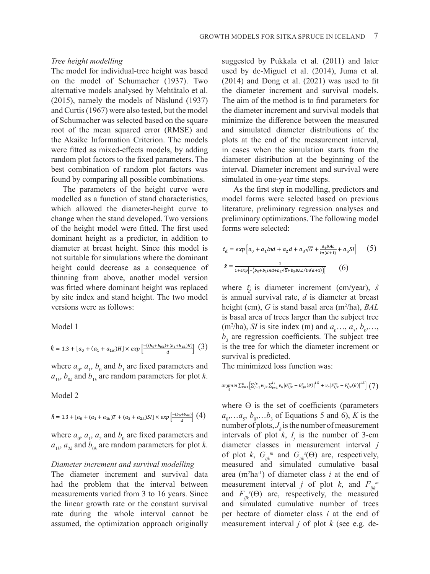## *Tree height modelling*

The model for individual-tree height was based on the model of Schumacher (1937). Two alternative models analysed by Mehtätalo et al. (2015), namely the models of Näslund (1937) and Curtis (1967) were also tested, but the model of Schumacher was selected based on the square root of the mean squared error (RMSE) and the Akaike Information Criterion. The models were fitted as mixed-effects models, by adding random plot factors to the fixed parameters. The best combination of random plot factors was found by comparing all possible combinations.

The parameters of the height curve were modelled as a function of stand characteristics, which allowed the diameter-height curve to change when the stand developed. Two versions of the height model were fitted. The first used dominant height as a predictor, in addition to diameter at breast height. Since this model is not suitable for simulations where the dominant  $height$  could decrease as a consequence of thinning from above, another model version  $1+exp[\frac{1+exp(-1)}{2} + \frac{1+exp(-1)}{2}]$ was fitted where dominant height was replaced by site index and stand height. The two model is annual sur by site mack and stand I  $\frac{1}{2}$   $\frac{1}{2}$   $\frac{1}{2}$   $\frac{1}{2}$   $\frac{1}{2}$   $\frac{1}{2}$   $\frac{1}{2}$   $\frac{1}{2}$   $\frac{1}{2}$   $\frac{1}{2}$ 

Model 1

$$
\hat{h} = 1.3 + [a_0 + (a_1 + a_{1k})H] \times exp\left[\frac{-(\left(b_0 + b_{0k}\right) + \left(b_1 + b_{1k}\right)H\right]}{d}\right] \tag{3}
$$

where  $a_0$ ,  $a_1$ ,  $b_0$  and  $b_1$  are fixed parameters and The mini $a_{1k}$ ,  $b_{0k}$  and  $b_{1k}$  are random parameters for plot *k*.

Model 2

$$
\hat{h} = 1.3 + [a_0 + (a_1 + a_{1k})T + (a_2 + a_{2k})SI] \times exp\left[\frac{-(b_0 + b_{0k})}{d}\right] \tag{4}
$$

where  $a_0$ ,  $a_1$ ,  $a_2$  and  $b_0$  are fixed parameters and  $a_{1k}$ ,  $a_{2k}$  and  $b_{0k}$  are random parameters for plot *k*.  $\frac{1}{2}$   $\frac{2}{\sqrt{2}}$   $\frac{1}{2}$   $\frac{1}{2}$   $\frac{1}{2}$   $\frac{1}{2}$   $\frac{1}{2}$   $\frac{1}{2}$   $\frac{1}{2}$   $\frac{1}{2}$   $\frac{1}{2}$   $\frac{1}{2}$   $\frac{1}{2}$   $\frac{1}{2}$   $\frac{1}{2}$   $\frac{1}{2}$   $\frac{1}{2}$   $\frac{1}{2}$   $\frac{1}{2}$   $\frac{1}{2}$   $\frac{1}{2}$   $\frac{1}{2}$ 

# *Diameter increment and survival modelling*

The diameter increment and survival data had the problem that the interval between measurements varied from 3 to 16 years. Since the linear growth rate or the constant survival and rate during the whole interval cannot be assumed, the optimization approach originally

suggested by Pukkala et al. (2011) and later used by de-Miguel et al.  $(2014)$ , Juma et al. (2014) and Dong et al. (2021) was used to fit the diameter increment and survival models. The aim of the method is to find parameters for the diameter increment and survival models that  $\frac{1}{2}$ minimize the difference between the measured and simulated diameter distributions of the plots at the end of the measurement interval,  $\frac{1}{2}$  in cases when the simulation starts from the diameter distribution at the beginning of the  $\frac{1}{2}$  interval. Diameter increment and survival were simulated in one-year time steps.

As the first step in modelling, predictors and model forms were selected based on previous literature, preliminary regression analyses and preliminary optimizations. The following model<br>forms were selected. homs were selected:

$$
t_{d} = exp[a_{0} + a_{1}lnd + a_{2}d + a_{3}\sqrt{G} + \frac{a_{4}BAL}{ln(d+1)} + a_{5}SI] \qquad (5)
$$
  

$$
s = \frac{1}{1 + exp[-(b_{0} + b_{1}lnd + b_{2}\sqrt{G} + b_{3}BAL/ln(d+1))]} \qquad (6)
$$

where  $\hat{i}$  is diameter increment (cm/year), *s* is annual survival rate, *d* is diameter at breast<br>height (cm).  $C$  is stand head ago (m<sup>2/h</sup>e),  $R_{4}I$ height (cm), G is stand basal area (m<sup>2</sup>/ha), BAL is basal area of trees larger than the subject tree  $(m^2/ha)$ , *SI* is site index (m) and  $a_0, ..., a_5, b_0, ...,$  $b_3$  are regression coefficients. The subject tree  $\frac{+(b_1+b_1k)H}{d}$  (3) is the tree for which the diameter increment or survival is predicted.  $\frac{13 \text{ O}}{24}$ 

The minimized loss function was:

$$
argmin_{\theta} \Sigma_{k=1}^K \left[ \Sigma_{j=1}^{J_k} w_{jk} \Sigma_{i=1}^{J_j} v_{\textit{G}} \big| G_{ljk}^m - G_{ljk}^s(\theta) \big|^{1.5} + v_F \big| F_{ljk}^m - F_{ljk}^s(\theta) \big|^{1.5} \right] \left( \mathcal{T} \right)
$$

where  $\Theta$  is the set of coefficients (parameters  $\left[\begin{array}{cc}a_0, a_1, a_2, b_0, \ldots, b_3\end{array}\right]$  (4)  $\left[\begin{array}{cc}a_0, a_1, a_2, b_0, \ldots, b_3\end{array}\right]$  of Equations 5 and 6), *K* is the number of plots,  $J_k$  is the number of measurement intervals of plot  $k$ ,  $I_j$  is the number of 3-cm diameter classes in measurement interval *j*  of plot *k*,  $G_{ijk}^m$  and  $G_{ijk}^s(\Theta)$  are, respectively, measured and simulated cumulative basal area (m2 ha-1) of diameter class *i* at the end of measurement interval *j* of plot *k*, and  $F_{ijk}^m$ and  $F_{ijk}^s(\Theta)$  are, respectively, the measured and simulated cumulative number of trees per hectare of diameter class *i* at the end of measurement interval *j* of plot *k* (see e.g. de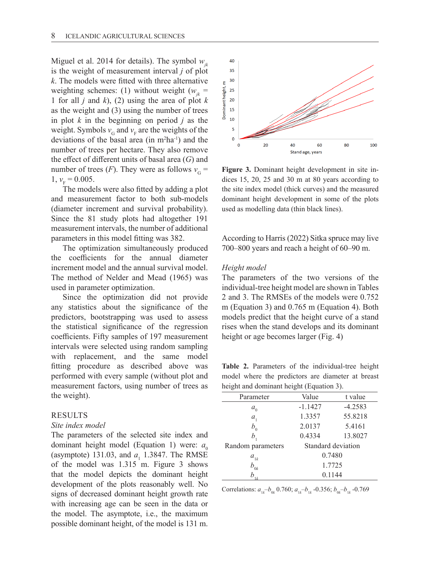Miguel et al. 2014 for details). The symbol  $w_{ik}$ is the weight of measurement interval *j* of plot *k*. The models were fitted with three alternative weighting schemes: (1) without weight  $(w<sub>n</sub>$  = 1 for all *j* and *k*), (2) using the area of plot *k* as the weight and (3) using the number of trees in plot *k* in the beginning on period *j* as the weight. Symbols  $v_G$  and  $v_F$  are the weights of the deviations of the basal area  $(in m<sup>2</sup>ha<sup>-1</sup>)$  and the number of trees per hectare. They also remove the effect of different units of basal area (*G*) and number of trees (*F*). They were as follows  $v<sub>G</sub>$  =  $1, v_F = 0.005.$ 

The models were also fitted by adding a plot and measurement factor to both sub-models (diameter increment and survival probability). Since the 81 study plots had altogether 191 measurement intervals, the number of additional parameters in this model fitting was 382.

The optimization simultaneously produced the coefficients for the annual diameter increment model and the annual survival model. The method of Nelder and Mead (1965) was used in parameter optimization.

Since the optimization did not provide any statistics about the significance of the predictors, bootstrapping was used to assess the statistical significance of the regression coefficients. Fifty samples of 197 measurement intervals were selected using random sampling with replacement, and the same model fitting procedure as described above was performed with every sample (without plot and measurement factors, using number of trees as the weight).

## RESULTS

#### *Site index model*

The parameters of the selected site index and dominant height model (Equation 1) were:  $a_0$ (asymptote) 131.03, and  $a_1$  1.3847. The RMSE of the model was 1.315 m. Figure 3 shows that the model depicts the dominant height development of the plots reasonably well. No signs of decreased dominant height growth rate with increasing age can be seen in the data or the model. The asymptote, i.e., the maximum possible dominant height, of the model is 131 m.



**Figure 3.** Dominant height development in site indices 15, 20, 25 and 30 m at 80 years according to the site index model (thick curves) and the measured dominant height development in some of the plots used as modelling data (thin black lines).

According to Harris (2022) Sitka spruce may live 700–800 years and reach a height of 60–90 m.

#### *Height model*

The parameters of the two versions of the individual-tree height model are shown in Tables 2 and 3. The RMSEs of the models were 0.752 m (Equation 3) and 0.765 m (Equation 4). Both models predict that the height curve of a stand rises when the stand develops and its dominant height or age becomes larger (Fig. 4)

**Table 2.** Parameters of the individual-tree height model where the predictors are diameter at breast height and dominant height (Equation 3).

| Value                       | t value   |  |
|-----------------------------|-----------|--|
| $-1.1427$                   | $-4.2583$ |  |
| 1.3357                      | 55.8218   |  |
| 2.0137                      | 5.4161    |  |
| 0.4334                      | 13.8027   |  |
| Standard deviation          |           |  |
| 0.7480                      |           |  |
| 1.7725                      |           |  |
| $b_{_{0k}}$<br>0.1144<br>h. |           |  |
|                             |           |  |

Correlations:  $a_{1k}$ — $b_{0k}$  0.760;  $a_{1k}$ — $b_{1k}$  -0.356;  $b_{0k}$ — $b_{1k}$  -0.769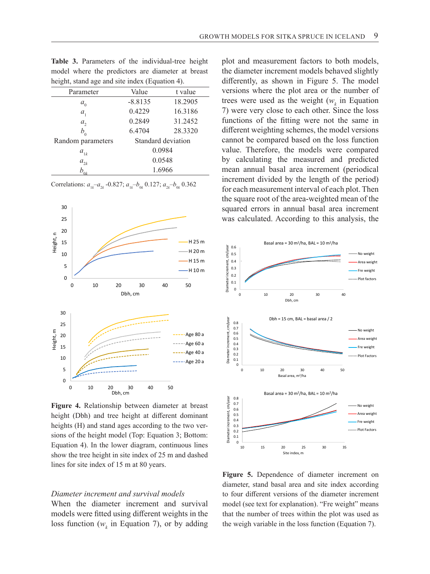| height, stand age and site index (Equation 4). |                    |         |  |  |  |
|------------------------------------------------|--------------------|---------|--|--|--|
| Parameter                                      | Value              | t value |  |  |  |
| $a_{\scriptscriptstyle 0}$                     | $-8.8135$          | 18.2905 |  |  |  |
| $a_{1}$                                        | 0.4229             | 16.3186 |  |  |  |
| $a_{2}$                                        | 0.2849             | 31.2452 |  |  |  |
| $b_{\scriptscriptstyle 0}$                     | 6.4704             | 28.3320 |  |  |  |
| Random parameters                              | Standard deviation |         |  |  |  |
| $a_{1k}$                                       | 0.0984             |         |  |  |  |
| $a_{2k}$                                       | 0.0548             |         |  |  |  |
| $b_{\mathbf{u}}$                               | 1.6966             |         |  |  |  |

**Table 3.** Parameters of the individual-tree height model where the predictors are diameter at breast

Correlations:  $a_{1k} - a_{2k} - 0.827$ ;  $a_{1k} - b_{0k} 0.127$ ;  $a_{2k} - b_{0k} 0.362$ 



**Figure 4.** Relationship between diameter at breast height (Dbh) and tree height at different dominant heights (H) and stand ages according to the two versions of the height model (Top: Equation 3; Bottom: Equation 4). In the lower diagram, continuous lines show the tree height in site index of 25 m and dashed lines for site index of 15 m at 80 years.

#### *Diameter increment and survival models*

When the diameter increment and survival models were fitted using different weights in the loss function ( $w_k$  in Equation 7), or by adding plot and measurement factors to both models, the diameter increment models behaved slightly differently, as shown in Figure 5. The model versions where the plot area or the number of trees were used as the weight  $(w_k)$  in Equation 7) were very close to each other. Since the loss functions of the fitting were not the same in different weighting schemes, the model versions cannot be compared based on the loss function value. Therefore, the models were compared by calculating the measured and predicted mean annual basal area increment (periodical increment divided by the length of the period) for each measurement interval of each plot. Then the square root of the area-weighted mean of the squared errors in annual basal area increment was calculated. According to this analysis, the



**Figure 5.** Dependence of diameter increment on diameter, stand basal area and site index according to four different versions of the diameter increment model (see text for explanation). "Fre weight" means that the number of trees within the plot was used as the weigh variable in the loss function (Equation 7).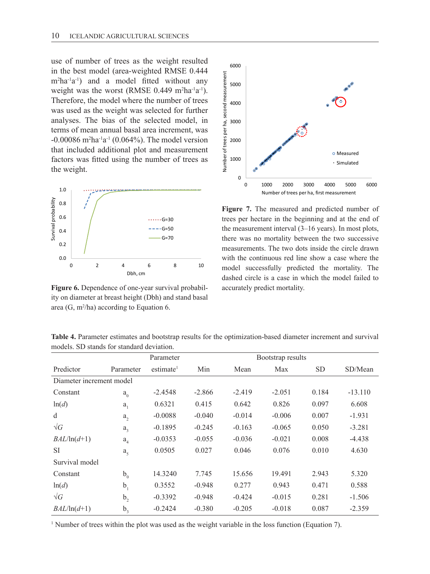use of number of trees as the weight resulted in the best model (area-weighted RMSE 0.444 m2 ha-1a-1) and a model fitted without any weight was the worst (RMSE  $0.449 \text{ m}^2\text{ha}^{\text{-}1}\text{a}^{\text{-}1}$ ). Therefore, the model where the number of trees was used as the weight was selected for further analyses. The bias of the selected model, in terms of mean annual basal area increment, was  $-0.00086$  m<sup>2</sup>ha<sup>-1</sup>a<sup>-1</sup> (0.064%). The model version that included additional plot and measurement factors was fitted using the number of trees as the weight.



**Figure 6.** Dependence of one-year survival probability on diameter at breast height (Dbh) and stand basal area  $(G, m^2/ha)$  according to Equation 6.



**Figure 7.** The measured and predicted number of trees per hectare in the beginning and at the end of the measurement interval (3–16 years). In most plots, there was no mortality between the two successive measurements. The two dots inside the circle drawn with the continuous red line show a case where the model successfully predicted the mortality. The dashed circle is a case in which the model failed to accurately predict mortality.

**Table 4.** Parameter estimates and bootstrap results for the optimization-based diameter increment and survival models. SD stands for standard deviation.

|                          |                             | Parameter             | Bootstrap results |          |          |       |           |
|--------------------------|-----------------------------|-----------------------|-------------------|----------|----------|-------|-----------|
| Predictor                | Parameter                   | estimate <sup>1</sup> | Min               | Mean     | Max      | SD.   | SD/Mean   |
| Diameter increment model |                             |                       |                   |          |          |       |           |
| Constant                 | $a_0$                       | $-2.4548$             | $-2.866$          | $-2.419$ | $-2.051$ | 0.184 | $-13.110$ |
| ln(d)                    | a <sub>1</sub>              | 0.6321                | 0.415             | 0.642    | 0.826    | 0.097 | 6.608     |
| d                        | a <sub>2</sub>              | $-0.0088$             | $-0.040$          | $-0.014$ | $-0.006$ | 0.007 | $-1.931$  |
| $\sqrt{G}$               | $a_{3}$                     | $-0.1895$             | $-0.245$          | $-0.163$ | $-0.065$ | 0.050 | $-3.281$  |
| $BAL/ln(d+1)$            | $a_{\scriptscriptstyle{A}}$ | $-0.0353$             | $-0.055$          | $-0.036$ | $-0.021$ | 0.008 | $-4.438$  |
| <b>SI</b>                | $a_{\zeta}$                 | 0.0505                | 0.027             | 0.046    | 0.076    | 0.010 | 4.630     |
| Survival model           |                             |                       |                   |          |          |       |           |
| Constant                 | $b_{0}$                     | 14.3240               | 7.745             | 15.656   | 19.491   | 2.943 | 5.320     |
| ln(d)                    | b <sub>1</sub>              | 0.3552                | $-0.948$          | 0.277    | 0.943    | 0.471 | 0.588     |
| $\sqrt{G}$               | b,                          | $-0.3392$             | $-0.948$          | $-0.424$ | $-0.015$ | 0.281 | $-1.506$  |
| $BAL/ln(d+1)$            | b <sub>3</sub>              | $-0.2424$             | $-0.380$          | $-0.205$ | $-0.018$ | 0.087 | $-2.359$  |

<sup>1</sup> Number of trees within the plot was used as the weight variable in the loss function (Equation 7).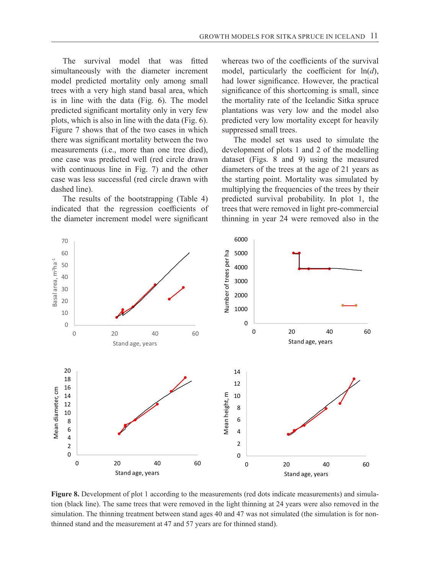The survival model that was fitted simultaneously with the diameter increment model predicted mortality only among small trees with a very high stand basal area, which is in line with the data (Fig. 6). The model predicted significant mortality only in very few plots, which is also in line with the data (Fig. 6). Figure 7 shows that of the two cases in which there was significant mortality between the two measurements (i.e., more than one tree died), one case was predicted well (red circle drawn with continuous line in Fig. 7) and the other case was less successful (red circle drawn with dashed line).

The results of the bootstrapping (Table 4) indicated that the regression coefficients of the diameter increment model were significant whereas two of the coefficients of the survival model, particularly the coefficient for ln(*d*), had lower significance. However, the practical significance of this shortcoming is small, since the mortality rate of the Icelandic Sitka spruce plantations was very low and the model also predicted very low mortality except for heavily suppressed small trees.

The model set was used to simulate the development of plots 1 and 2 of the modelling dataset (Figs. 8 and 9) using the measured diameters of the trees at the age of 21 years as the starting point. Mortality was simulated by multiplying the frequencies of the trees by their predicted survival probability. In plot 1, the trees that were removed in light pre-commercial thinning in year 24 were removed also in the



**Figure 8.** Development of plot 1 according to the measurements (red dots indicate measurements) and simulation (black line). The same trees that were removed in the light thinning at 24 years were also removed in the simulation. The thinning treatment between stand ages 40 and 47 was not simulated (the simulation is for nonthinned stand and the measurement at 47 and 57 years are for thinned stand).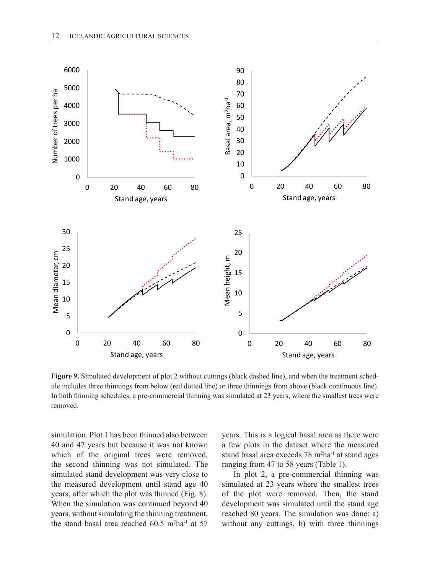

**Figure 9.** Simulated development of plot 2 without cuttings (black dashed line), and when the treatment schedule includes three thinnings from below (red dotted line) or three thinnings from above (black continuous line). In both thinning schedules, a pre-commercial thinning was simulated at 23 years, where the smallest trees were removed.

simulation. Plot 1 has been thinned also between 40 and 47 years but because it was not known which of the original trees were removed, the second thinning was not simulated. The simulated stand development was very close to the measured development until stand age 40 years, after which the plot was thinned (Fig. 8). When the simulation was continued beyond 40 years, without simulating the thinning treatment, the stand basal area reached 60.5 m<sup>2</sup>ha<sup>-1</sup> at 57 years. This is a logical basal area as there were a few plots in the dataset where the measured stand basal area exceeds 78 m2 ha-1 at stand ages ranging from 47 to 58 years (Table 1).

In plot 2, a pre-commercial thinning was simulated at 23 years where the smallest trees of the plot were removed. Then, the stand development was simulated until the stand age reached 80 years. The simulation was done: a) without any cuttings, b) with three thinnings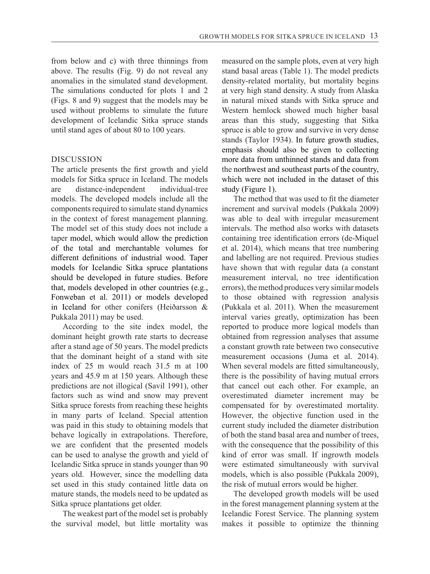from below and c) with three thinnings from above. The results (Fig. 9) do not reveal any anomalies in the simulated stand development. The simulations conducted for plots 1 and 2 (Figs. 8 and 9) suggest that the models may be used without problems to simulate the future development of Icelandic Sitka spruce stands until stand ages of about 80 to 100 years.

# DISCUSSION

The article presents the first growth and yield models for Sitka spruce in Iceland. The models are distance-independent individual-tree models. The developed models include all the components required to simulate stand dynamics in the context of forest management planning. The model set of this study does not include a taper model, which would allow the prediction of the total and merchantable volumes for different definitions of industrial wood. Taper models for Icelandic Sitka spruce plantations should be developed in future studies. Before that, models developed in other countries (e.g., Fonweban et al. 2011) or models developed in Iceland for other conifers (Heiðarsson & Pukkala 2011) may be used.

According to the site index model, the dominant height growth rate starts to decrease after a stand age of 50 years. The model predicts that the dominant height of a stand with site index of 25 m would reach 31.5 m at 100 years and 45.9 m at 150 years. Although these predictions are not illogical (Savil 1991), other factors such as wind and snow may prevent Sitka spruce forests from reaching these heights in many parts of Iceland. Special attention was paid in this study to obtaining models that behave logically in extrapolations. Therefore, we are confident that the presented models can be used to analyse the growth and yield of Icelandic Sitka spruce in stands younger than 90 years old. However, since the modelling data set used in this study contained little data on mature stands, the models need to be updated as Sitka spruce plantations get older.

The weakest part of the model set is probably the survival model, but little mortality was

measured on the sample plots, even at very high stand basal areas (Table 1). The model predicts density-related mortality, but mortality begins at very high stand density. A study from Alaska in natural mixed stands with Sitka spruce and Western hemlock showed much higher basal areas than this study, suggesting that Sitka spruce is able to grow and survive in very dense stands (Taylor 1934). In future growth studies, emphasis should also be given to collecting more data from unthinned stands and data from the northwest and southeast parts of the country, which were not included in the dataset of this study (Figure 1).

The method that was used to fit the diameter increment and survival models (Pukkala 2009) was able to deal with irregular measurement intervals. The method also works with datasets containing tree identification errors (de-Miquel et al. 2014), which means that tree numbering and labelling are not required. Previous studies have shown that with regular data (a constant measurement interval, no tree identification errors), the method produces very similar models to those obtained with regression analysis (Pukkala et al. 2011). When the measurement interval varies greatly, optimization has been reported to produce more logical models than obtained from regression analyses that assume a constant growth rate between two consecutive measurement occasions (Juma et al. 2014). When several models are fitted simultaneously, there is the possibility of having mutual errors that cancel out each other. For example, an overestimated diameter increment may be compensated for by overestimated mortality. However, the objective function used in the current study included the diameter distribution of both the stand basal area and number of trees, with the consequence that the possibility of this kind of error was small. If ingrowth models were estimated simultaneously with survival models, which is also possible (Pukkala 2009), the risk of mutual errors would be higher.

The developed growth models will be used in the forest management planning system at the Icelandic Forest Service. The planning system makes it possible to optimize the thinning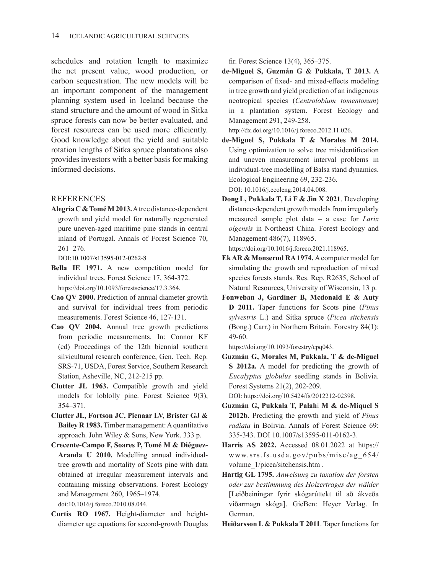schedules and rotation length to maximize the net present value, wood production, or carbon sequestration. The new models will be an important component of the management planning system used in Iceland because the stand structure and the amount of wood in Sitka spruce forests can now be better evaluated, and forest resources can be used more efficiently. Good knowledge about the yield and suitable rotation lengths of Sitka spruce plantations also provides investors with a better basis for making informed decisions.

#### REFERENCES

**Alegria C & Tomé M 2013.** A tree distance-dependent growth and yield model for naturally regenerated pure uneven-aged maritime pine stands in central inland of Portugal. Annals of Forest Science 70, 261–276.

DOI:10.1007/s13595-012-0262-8

- **Bella IE 1971.** A new competition model for individual trees. Forest Science 17, 364-372. https://doi.org/10.1093/forestscience/17.3.364.
- **Cao QV 2000.** Prediction of annual diameter growth and survival for individual trees from periodic measurements. Forest Science 46, 127-131.
- **Cao QV 2004.** Annual tree growth predictions from periodic measurements. In: Connor KF (ed) Proceedings of the 12th biennial southern silvicultural research conference, Gen. Tech. Rep. SRS-71, USDA, Forest Service, Southern Research Station, Asheville, NC, 212-215 pp.
- **Clutter JL 1963.** Compatible growth and yield models for loblolly pine. Forest Science 9(3), 354–371.
- **Clutter JL, Fortson JC, Pienaar LV, Brister GJ & Bailey R 1983.** Timber management: A quantitative approach. John Wiley & Sons, New York. 333 p.
- **Crecente-Campo F, Soares P, Tomé M & Diéguez-Aranda U 2010.** Modelling annual individualtree growth and mortality of Scots pine with data obtained at irregular measurement intervals and containing missing observations. Forest Ecology and Management 260, 1965–1974. doi:10.1016/j.foreco.2010.08.044.
- **Curtis RO 1967.** Height-diameter and heightdiameter age equations for second-growth Douglas

fir. Forest Science 13(4), 365–375.

**de-Miguel S, Guzmán G & Pukkala, T 2013.** A comparison of fixed- and mixed-effects modeling in tree growth and yield prediction of an indigenous neotropical species (*Centrolobium tomentosum*) in a plantation system. Forest Ecology and Management 291, 249-258.

http://dx.doi.org/10.1016/j.foreco.2012.11.026.

**de-Miguel S, Pukkala T & Morales M 2014.** Using optimization to solve tree misidentification and uneven measurement interval problems in individual-tree modelling of Balsa stand dynamics. Ecological Engineering 69, 232-236.

DOI: 10.1016/j.ecoleng.2014.04.008.

**DongL, Pukkala T, Li F & Jin X 2021**. Developing distance-dependent growth models from irregularly measured sample plot data – a case for *Larix olgensis* in Northeast China. Forest Ecology and Management 486(7), 118965.

https://doi.org/10.1016/j.foreco.2021.118965.

- **Ek AR & Monserud RA 1974.** A computer model for simulating the growth and reproduction of mixed species forests stands. Res. Rep. R2635, School of Natural Resources, University of Wisconsin, 13 p.
- **Fonweban J, Gardiner B, Mcdonald E & Auty D 2011.** Taper functions for Scots pine (*Pinus sylvestris* L.) and Sitka spruce (*Picea sitchensis* (Bong.) Carr.) in Northern Britain. Forestry 84(1): 49-60.

https://doi.org/10.1093/forestry/cpq043.

**Guzmán G, Morales M, Pukkala, T & de-Miguel S 2012a.** A model for predicting the growth of *Eucalyptus globulus* seedling stands in Bolivia. Forest Systems 21(2), 202-209.

DOI: https://doi.org/10.5424/fs/2012212-02398.

- **Guzmán G, Pukkala T, Palah**í **M & de-Miquel S 2012b.** Predicting the growth and yield of *Pinus radiata* in Bolivia. Annals of Forest Science 69: 335-343. DOI 10.1007/s13595-011-0162-3.
- **Harris AS 2022.** Accessed 08.01.2022 at https:// www.srs.fs.usda.gov/pubs/misc/ag\_654/ volume\_1/picea/sitchensis.htm .
- **Hartig GL 1795.** *Anweisung zu taxation der forsten oder zur bestimmung des Holzertrages der wälder* [Leiðbeiningar fyrir skógarúttekt til að ákveða viðarmagn skóga]. GieBen: Heyer Verlag. In German.
- **Heiðarsson L & Pukkala T 2011**. Taper functions for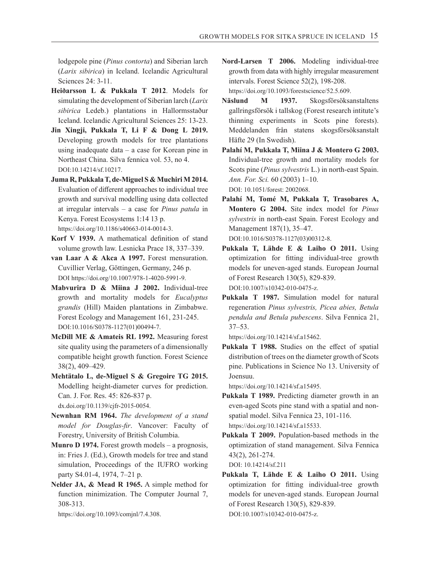lodgepole pine (*Pinus contorta*) and Siberian larch (*Larix sibirica*) in Iceland. Icelandic Agricultural Sciences 24: 3-11.

- **Heiðarsson L & Pukkala T 2012**. Models for simulating the development of Siberian larch (*Larix sibirica* Ledeb.) plantations in Hallormsstaður Iceland. Icelandic Agricultural Sciences 25: 13-23.
- **Jin Xingji, Pukkala T, Li F & Dong L 2019.** Developing growth models for tree plantations using inadequate data – a case for Korean pine in Northeast China. Silva fennica vol. 53, no 4. DOI:10.14214/sf.10217.
- **Juma R, Pukkala T, de-Miguel S & Muchiri M 2014.** Evaluation of different approaches to individual tree growth and survival modelling using data collected at irregular intervals – a case for *Pinus patula* in Kenya. Forest Ecosystems 1:14 13 p. https://doi.org/10.1186/s40663-014-0014-3.
- **Korf V 1939.** A mathematical definition of stand volume growth law. Lesnicka Prace 18, 337–339.
- **van Laar A & Akca A 1997.** Forest mensuration. Cuvillier Verlag, Göttingen, Germany, 246 p. DOI https://doi.org/10.1007/978-1-4020-5991-9.
- **Mabvurira D & Miina J 2002.** Individual-tree growth and mortality models for *Eucalyptus grandis* (Hill) Maiden plantations in Zimbabwe. Forest Ecology and Management 161, 231-245. DOI:10.1016/S0378-1127(01)00494-7.
- **McDill ME & Amateis RL 1992.** Measuring forest site quality using the parameters of a dimensionally compatible height growth function. Forest Science 38(2), 409–429.
- **Mehtätalo L, de-Miguel S & Gregoire TG 2015.** Modelling height-diameter curves for prediction. Can. J. For. Res. 45: 826-837 p. dx.doi.org/10.1139/cjfr-2015-0054.
- **Newnhan RM 1964.** *The development of a stand model for Douglas-fir*. Vancover: Faculty of Forestry, University of British Columbia.
- **Munro D 1974.** Forest growth models a prognosis, in: Fries J. (Ed.), Growth models for tree and stand simulation, Proceedings of the IUFRO working party S4.01-4, 1974, 7–21 p.
- **Nelder JA, & Mead R 1965.** A simple method for function minimization. The Computer Journal 7, 308-313.

https://doi.org/10.1093/comjnl/7.4.308.

- **Nord-Larsen T 2006.** Modeling individual-tree growth from data with highly irregular measurement intervals. Forest Science 52(2), 198-208. https://doi.org/10.1093/forestscience/52.5.609.
- **Näslund M 1937.** Skogsförsöksanstaltens gallringsförsök i tallskog (Forest research intitute's thinning experiments in Scots pine forests). Meddelanden från statens skogsförsöksanstalt Häfte 29 (In Swedish).
- **Palahí M, Pukkala T, Miina J & Montero G 2003.** Individual-tree growth and mortality models for Scots pine (*Pinus sylvestris* L.) in north-east Spain. *Ann. For. Sci.* 60 (2003) 1–10. DOI: 10.1051/forest: 2002068.
- **Palahí M, Tomé M, Pukkala T, Trasobares A, Montero G 2004.** Site index model for *Pinus sylvestris* in north-east Spain. Forest Ecology and Management 187(1), 35–47. DOI:10.1016/S0378-1127(03)00312-8.
- **Pukkala T, Lähde E & Laiho O 2011.** Using optimization for fitting individual-tree growth models for uneven-aged stands. European Journal of Forest Research 130(5), 829-839. DOI:10.1007/s10342-010-0475-z.
- **Pukkala T 1987.** Simulation model for natural regeneration *Pinus sylvestris, Picea abies, Betula pendula and Betula pubescens*. Silva Fennica 21, 37–53.

https://doi.org/10.14214/sf.a15462.

**Pukkala T 1988.** Studies on the effect of spatial distribution of trees on the diameter growth of Scots pine. Publications in Science No 13. University of Joensuu.

https://doi.org/10.14214/sf.a15495.

- **Pukkala T 1989.** Predicting diameter growth in an even-aged Scots pine stand with a spatial and nonspatial model. Silva Fennica 23, 101-116. https://doi.org/10.14214/sf.a15533.
- **Pukkala T 2009.** Population-based methods in the optimization of stand management. Silva Fennica 43(2), 261-274.

DOI: 10.14214/sf.211

**Pukkala T, Lähde E & Laiho O 2011.** Using optimization for fitting individual-tree growth models for uneven-aged stands. European Journal of Forest Research 130(5), 829-839. DOI:10.1007/s10342-010-0475-z.